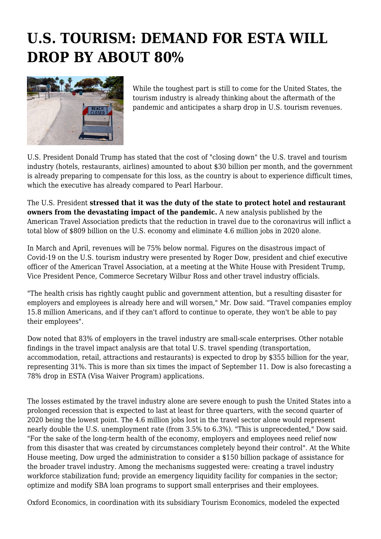## **U.S. TOURISM: DEMAND FOR ESTA WILL DROP BY ABOUT 80%**



While the toughest part is still to come for the United States, the tourism industry is already thinking about the aftermath of the pandemic and anticipates a sharp drop in U.S. tourism revenues.

U.S. President Donald Trump has stated that the cost of "closing down" the U.S. travel and tourism industry (hotels, restaurants, airlines) amounted to about \$30 billion per month, and the government is already preparing to compensate for this loss, as the country is about to experience difficult times, which the executive has already compared to Pearl Harbour.

The U.S. President **stressed that it was the duty of the state to protect hotel and restaurant owners from the devastating impact of the pandemic.** A new analysis published by the American Travel Association predicts that the reduction in travel due to the coronavirus will inflict a total blow of \$809 billion on the U.S. economy and eliminate 4.6 million jobs in 2020 alone.

In March and April, revenues will be 75% below normal. Figures on the disastrous impact of Covid-19 on the U.S. tourism industry were presented by Roger Dow, president and chief executive officer of the American Travel Association, at a meeting at the White House with President Trump, Vice President Pence, Commerce Secretary Wilbur Ross and other travel industry officials.

"The health crisis has rightly caught public and government attention, but a resulting disaster for employers and employees is already here and will worsen," Mr. Dow said. "Travel companies employ 15.8 million Americans, and if they can't afford to continue to operate, they won't be able to pay their employees".

Dow noted that 83% of employers in the travel industry are small-scale enterprises. Other notable findings in the travel impact analysis are that total U.S. travel spending (transportation, accommodation, retail, attractions and restaurants) is expected to drop by \$355 billion for the year, representing 31%. This is more than six times the impact of September 11. Dow is also forecasting a 78% drop in ESTA (Visa Waiver Program) applications.

The losses estimated by the travel industry alone are severe enough to push the United States into a prolonged recession that is expected to last at least for three quarters, with the second quarter of 2020 being the lowest point. The 4.6 million jobs lost in the travel sector alone would represent nearly double the U.S. unemployment rate (from 3.5% to 6.3%). "This is unprecedented," Dow said. "For the sake of the long-term health of the economy, employers and employees need relief now from this disaster that was created by circumstances completely beyond their control". At the White House meeting, Dow urged the administration to consider a \$150 billion package of assistance for the broader travel industry. Among the mechanisms suggested were: creating a travel industry workforce stabilization fund; provide an emergency liquidity facility for companies in the sector; optimize and modify SBA loan programs to support small enterprises and their employees.

Oxford Economics, in coordination with its subsidiary Tourism Economics, modeled the expected